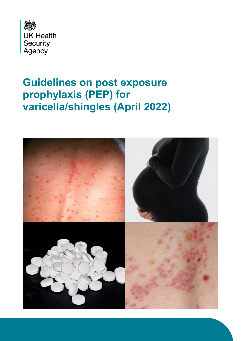

# **Guidelines on post exposure prophylaxis (PEP) for varicella/shingles (April 2022)**

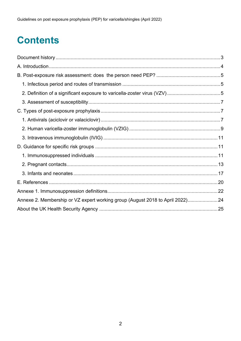# **Contents**

| Annexe 2. Membership or VZ expert working group (August 2018 to April 2022)24 |  |
|-------------------------------------------------------------------------------|--|
|                                                                               |  |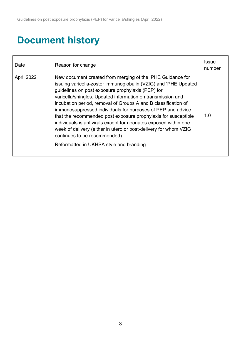## <span id="page-2-0"></span>**Document history**

| Date       | Reason for change                                                                                                                                                                                                                                                                                                                                                                                                                                                                                                                                                                                                                                                        | Issue<br>number |
|------------|--------------------------------------------------------------------------------------------------------------------------------------------------------------------------------------------------------------------------------------------------------------------------------------------------------------------------------------------------------------------------------------------------------------------------------------------------------------------------------------------------------------------------------------------------------------------------------------------------------------------------------------------------------------------------|-----------------|
| April 2022 | New document created from merging of the 'PHE Guidance for<br>issuing varicella-zoster immunoglobulin (VZIG) and 'PHE Updated<br>guidelines on post exposure prophylaxis (PEP) for<br>varicella/shingles. Updated information on transmission and<br>incubation period, removal of Groups A and B classification of<br>immunosuppressed individuals for purposes of PEP and advice<br>that the recommended post exposure prophylaxis for susceptible<br>individuals is antivirals except for neonates exposed within one<br>week of delivery (either in utero or post-delivery for whom VZIG<br>continues to be recommended).<br>Reformatted in UKHSA style and branding | 1.0             |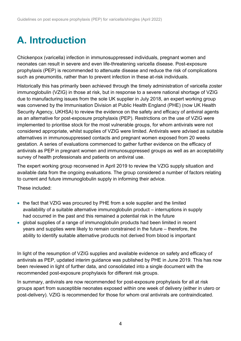# <span id="page-3-0"></span>**A. Introduction**

Chickenpox (varicella) infection in immunosuppressed individuals, pregnant women and neonates can result in severe and even life-threatening varicella disease. Post-exposure prophylaxis (PEP) is recommended to attenuate disease and reduce the risk of complications such as pneumonitis, rather than to prevent infection in these at-risk individuals.

Historically this has primarily been achieved through the timely administration of varicella zoster immunoglobulin (VZIG) in those at risk, but in response to a severe national shortage of VZIG due to manufacturing issues from the sole UK supplier in July 2018, an expert working group was convened by the Immunisation Division at Public Health England (PHE) (now UK Health Security Agency, UKHSA) to review the evidence on the safety and efficacy of antiviral agents as an alternative for post-exposure prophylaxis (PEP). Restrictions on the use of VZIG were implemented to prioritise stock for the most vulnerable groups, for whom antivirals were not considered appropriate, whilst supplies of VZIG were limited. Antivirals were advised as suitable alternatives in immunosuppressed contacts and pregnant women exposed from 20 weeks gestation. A series of evaluations commenced to gather further evidence on the efficacy of antivirals as PEP in pregnant women and immunosuppressed groups as well as an acceptability survey of health professionals and patients on antiviral use.

The expert working group reconvened in April 2019 to review the VZIG supply situation and available data from the ongoing evaluations. The group considered a number of factors relating to current and future immunoglobulin supply in informing their advice.

These included:

- the fact that VZIG was procured by PHE from a sole supplier and the limited availability of a suitable alternative immunoglobulin product – interruptions in supply had occurred in the past and this remained a potential risk in the future
- global supplies of a range of immunoglobulin products had been limited in recent years and supplies were likely to remain constrained in the future – therefore, the ability to identify suitable alternative products not derived from blood is important

In light of the resumption of VZIG supplies and available evidence on safety and efficacy of antivirals as PEP, updated interim guidance was published by PHE in June 2019. This has now been reviewed in light of further data, and consolidated into a single document with the recommended post-exposure prophylaxis for different risk groups.

In summary, antivirals are now recommended for post-exposure prophylaxis for all at risk groups apart from susceptible neonates exposed within one week of delivery (either in utero or post-delivery). VZIG is recommended for those for whom oral antivirals are contraindicated.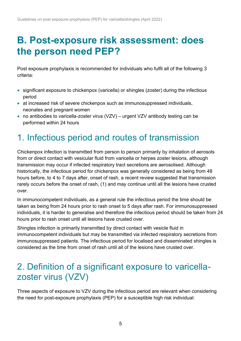## <span id="page-4-0"></span>**B. Post-exposure risk assessment: does the person need PEP?**

Post exposure prophylaxis is recommended for individuals who fulfil all of the following 3 criteria:

- significant exposure to chickenpox (varicella) or shingles (zoster) during the infectious period
- at increased risk of severe chickenpox such as immunosuppressed individuals, neonates and pregnant women
- no antibodies to varicella-zoster virus (VZV) urgent VZV antibody testing can be performed within 24 hours

## <span id="page-4-1"></span>1. Infectious period and routes of transmission

Chickenpox infection is transmitted from person to person primarily by inhalation of aerosols from or direct contact with vesicular fluid from varicella or herpes zoster lesions, although transmission may occur if infected respiratory tract secretions are aerosolised. Although historically, the infectious period for chickenpox was generally considered as being from 48 hours before, to 4 to 7 days after, onset of rash, a recent review suggested that transmission rarely occurs before the onset of rash, (1) and may continue until all the lesions have crusted over.

In immunocompetent individuals, as a general rule the infectious period the time should be taken as being from 24 hours prior to rash onset to 5 days after rash. For immunosuppressed individuals, it is harder to generalise and therefore the infectious period should be taken from 24 hours prior to rash onset until all lesions have crusted over.

Shingles infection is primarily transmitted by direct contact with vesicle fluid in immunocompetent individuals but may be transmitted via infected respiratory secretions from immunosuppressed patients. The infectious period for localised and disseminated shingles is considered as the time from onset of rash until all of the lesions have crusted over.

## <span id="page-4-2"></span>2. Definition of a significant exposure to varicellazoster virus (VZV)

Three aspects of exposure to VZV during the infectious period are relevant when considering the need for post-exposure prophylaxis (PEP) for a susceptible high risk individual: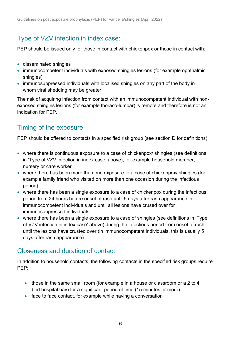### Type of VZV infection in index case:

PEP should be issued only for those in contact with chickenpox or those in contact with:

- disseminated shingles
- immunocompetent individuals with exposed shingles lesions (for example ophthalmic shingles)
- immunosuppressed individuals with localised shingles on any part of the body in whom viral shedding may be greater

The risk of acquiring infection from contact with an immunocompetent individual with nonexposed shingles lesions (for example thoraco-lumbar) is remote and therefore is not an indication for PEP.

### Timing of the exposure

PEP should be offered to contacts in a specified risk group (see section D for definitions):

- where there is continuous exposure to a case of chickenpox/ shingles (see definitions in 'Type of VZV infection in index case' above), for example household member, nursery or care worker
- where there has been more than one exposure to a case of chickenpox/ shingles (for example family friend who visited on more than one occasion during the infectious period)
- where there has been a single exposure to a case of chickenpox during the infectious period from 24 hours before onset of rash until 5 days after rash appearance in immunocompetent individuals and until all lesions have crused over for immunosuppressed individuals
- where there has been a single exposure to a case of shingles (see definitions in 'Type of VZV infection in index case' above) during the infectious period from onset of rash until the lesions have crusted over (in immunocompetent individuals, this is usually 5 days after rash appearance)

### Closeness and duration of contact

In addition to household contacts, the following contacts in the specified risk groups require PEP:

- those in the same small room (for example in a house or classroom or a 2 to 4 bed hospital bay) for a significant period of time (15 minutes or more)
- face to face contact, for example while having a conversation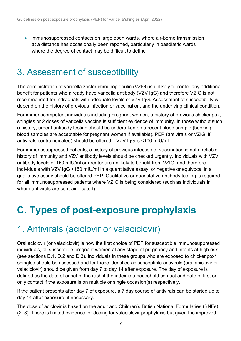• immunosuppressed contacts on large open wards, where air-borne transmission at a distance has occasionally been reported, particularly in paediatric wards where the degree of contact may be difficult to define

### <span id="page-6-0"></span>3. Assessment of susceptibility

The administration of varicella zoster immunoglobulin (VZIG) is unlikely to confer any additional benefit for patients who already have varicella antibody (VZV IgG) and therefore VZIG is not recommended for individuals with adequate levels of VZV IgG. Assessment of susceptibility will depend on the history of previous infection or vaccination, and the underlying clinical condition.

For immunocompetent individuals including pregnant women, a history of previous chickenpox, shingles or 2 doses of varicella vaccine is sufficient evidence of immunity. In those without such a history, urgent antibody testing should be undertaken on a recent blood sample (booking blood samples are acceptable for pregnant women if available). PEP (antivirals or VZIG, if antivirals contraindicated) should be offered if VZV IgG is <100 mIU/ml.

For immunosuppressed patients, a history of previous infection or vaccination is not a reliable history of immunity and VZV antibody levels should be checked urgently. Individuals with VZV antibody levels of 150 mIU/ml or greater are unlikely to benefit from VZIG, and therefore individuals with VZV IgG <150 mIU/ml in a quantitative assay, or negative or equivocal in a qualitative assay should be offered PEP. Qualitative or quantitative antibody testing is required for all immunosuppressed patients where VZIG is being considered (such as individuals in whom antivirals are contraindicated).

## <span id="page-6-1"></span>**C. Types of post-exposure prophylaxis**

### <span id="page-6-2"></span>1. Antivirals (aciclovir or valaciclovir)

Oral aciclovir (or valaciclovir) is now the first choice of PEP for susceptible immunosuppressed individuals, all susceptible pregnant women at any stage of pregnancy and infants at high risk (see sections D.1, D.2 and D.3). Individuals in these groups who are exposed to chickenpox/ shingles should be assessed and for those identified as susceptible antivirals (oral aciclovir or valaciclovir) should be given from day 7 to day 14 after exposure. The day of exposure is defined as the date of onset of the rash if the index is a household contact and date of first or only contact if the exposure is on multiple or single occasion(s) respectively.

If the patient presents after day 7 of exposure, a 7 day course of antivirals can be started up to day 14 after exposure, if necessary.

The dose of aciclovir is based on the adult and Children's British National Formularies (BNFs). (2, 3). There is limited evidence for dosing for valaciclovir prophylaxis but given the improved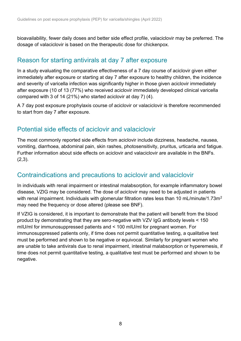bioavailability, fewer daily doses and better side effect profile, valaciclovir may be preferred. The dosage of valaciclovir is based on the therapeutic dose for chickenpox.

### Reason for starting antivirals at day 7 after exposure

In a study evaluating the comparative effectiveness of a 7 day course of aciclovir given either immediately after exposure or starting at day 7 after exposure to healthy children, the incidence and severity of varicella infection was significantly higher in those given aciclovir immediately after exposure (10 of 13 (77%) who received aciclovir immediately developed clinical varicella compared with 3 of 14 (21%) who started aciclovir at day 7) (4).

A 7 day post exposure prophylaxis course of aciclovir or valaciclovir is therefore recommended to start from day 7 after exposure.

### Potential side effects of aciclovir and valaciclovir

The most commonly reported side effects from aciclovir include dizziness, headache, nausea, vomiting, diarrhoea, abdominal pain, skin rashes, photosensitivity, pruritus, urticaria and fatigue. Further information about side effects on aciclovir and valaciclovir are available in the BNFs.  $(2,3)$ .

### Contraindications and precautions to aciclovir and valaciclovir

In individuals with renal impairment or intestinal malabsorption, for example inflammatory bowel disease, VZIG may be considered. The dose of aciclovir may need to be adjusted in patients with renal impairment. Individuals with glomerular filtration rates less than 10 mL/minute/1.73m<sup>2</sup> may need the frequency or dose altered (please see BNF).

If VZIG is considered, it is important to demonstrate that the patient will benefit from the blood product by demonstrating that they are sero-negative with VZV IgG antibody levels < 150 mIU/ml for immunosuppressed patients and < 100 mIU/ml for pregnant women. For immunosuppressed patients only, if time does not permit quantitative testing, a qualitative test must be performed and shown to be negative or equivocal. Similarly for pregnant women who are unable to take antivirals due to renal impairment, intestinal malabsorption or hyperemesis, if time does not permit quantitative testing, a qualitative test must be performed and shown to be negative.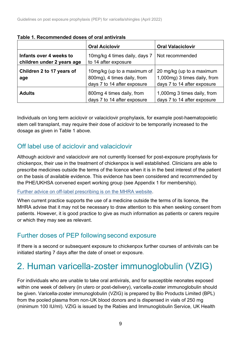|                                                       | <b>Oral Aciclovir</b>                                                                     | <b>Oral Valaciclovir</b>                                                                 |
|-------------------------------------------------------|-------------------------------------------------------------------------------------------|------------------------------------------------------------------------------------------|
| Infants over 4 weeks to<br>children under 2 years age | 10mg/kg 4 times daily, days 7<br>to 14 after exposure                                     | Not recommended                                                                          |
| Children 2 to 17 years of<br>age                      | 10mg/kg (up to a maximum of<br>800mg), 4 times daily, from<br>days 7 to 14 after exposure | 20 mg/kg (up to a maximum<br>1,000mg) 3 times daily, from<br>days 7 to 14 after exposure |
| <b>Adults</b>                                         | 800mg 4 times daily, from<br>days 7 to 14 after exposure                                  | 1,000mg 3 times daily, from<br>days 7 to 14 after exposure                               |

#### **Table 1. Recommended doses of oral antivirals**

Individuals on long term aciclovir or valaciclovir prophylaxis, for example post-haematopoietic stem cell transplant, may require their dose of aciclovir to be temporarily increased to the dosage as given in Table 1 above.

### Off label use of aciclovir and valaciclovir

Although aciclovir and valaciclovir are not currently licensed for post-exposure prophylaxis for chickenpox, their use in the treatment of chickenpox is well established. Clinicians are able to prescribe medicines outside the terms of the licence when it is in the best interest of the patient on the basis of available evidence. This evidence has been considered and recommended by the PHE/UKHSA convened expert working group (see Appendix 1 for membership).

#### [Further advice on off-label prescribing is on the MHRA website.](http://www.gov.uk/drug-safety-update/off-label-or-unlicensed-use-of-medicines-prescribers-responsibilities)

When current practice supports the use of a medicine outside the terms of its licence, the MHRA advise that it may not be necessary to draw attention to this when seeking consent from patients. However, it is good practice to give as much information as patients or carers require or which they may see as relevant.

### Further doses of PEP following second exposure

If there is a second or subsequent exposure to chickenpox further courses of antivirals can be initiated starting 7 days after the date of onset or exposure.

## <span id="page-8-0"></span>2. Human varicella-zoster immunoglobulin (VZIG)

For individuals who are unable to take oral antivirals, and for susceptible neonates exposed within one week of delivery (in utero or post-delivery), varicella-zoster immunoglobulin should be given. Varicella-zoster immunoglobulin (VZIG) is prepared by Bio Products Limited (BPL) from the pooled plasma from non-UK blood donors and is dispensed in vials of 250 mg (minimum 100 IU/ml). VZIG is issued by the Rabies and Immunoglobulin Service, UK Health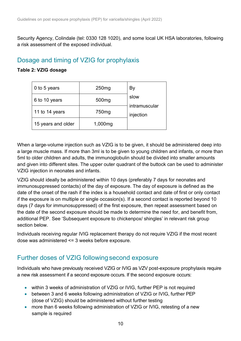Security Agency, Colindale (tel: 0330 128 1020), and some local UK HSA laboratories, following a risk assessment of the exposed individual.

### Dosage and timing of VZIG for prophylaxis

#### **Table 2: VZIG dosage**

| 0 to 5 years       | 250 <sub>mg</sub> | By                         |
|--------------------|-------------------|----------------------------|
| 6 to 10 years      | 500 <sub>mg</sub> | slow                       |
| 11 to 14 years     | 750 <sub>mg</sub> | intramuscular<br>injection |
| 15 years and older | 1,000mg           |                            |

When a large-volume injection such as VZIG is to be given, it should be administered deep into a large muscle mass. If more than 3ml is to be given to young children and infants, or more than 5ml to older children and adults, the immunoglobulin should be divided into smaller amounts and given into different sites. The upper outer quadrant of the buttock can be used to administer VZIG injection in neonates and infants.

VZIG should ideally be administered within 10 days (preferably 7 days for neonates and immunosuppressed contacts) of the day of exposure. The day of exposure is defined as the date of the onset of the rash if the index is a household contact and date of first or only contact if the exposure is on multiple or single occasion(s). If a second contact is reported beyond 10 days (7 days for immunosuppressed) of the first exposure, then repeat assessment based on the date of the second exposure should be made to determine the need for, and benefit from, additional PEP. See 'Subsequent exposure to chickenpox/ shingles' in relevant risk group section below.

Individuals receiving regular IVIG replacement therapy do not require VZIG if the most recent dose was administered <= 3 weeks before exposure.

### Further doses of VZIG following second exposure

Individuals who have previously received VZIG or IVIG as VZV post-exposure prophylaxis require a new risk assessment if a second exposure occurs. If the second exposure occurs:

- within 3 weeks of administration of VZIG or IVIG, further PEP is not required
- between 3 and 6 weeks following administration of VZIG or IVIG, further PEP (dose of VZIG) should be administered without further testing
- more than 6 weeks following administration of VZIG or IVIG, retesting of a new sample is required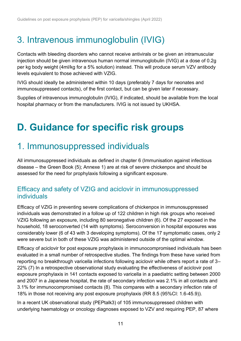## <span id="page-10-0"></span>3. Intravenous immunoglobulin (IVIG)

Contacts with bleeding disorders who cannot receive antivirals or be given an intramuscular injection should be given intravenous human normal immunoglobulin (IVIG) at a dose of 0.2g per kg body weight (4ml/kg for a 5% solution) instead. This will produce serum VZV antibody levels equivalent to those achieved with VZIG.

IVIG should ideally be administered within 10 days (preferably 7 days for neonates and immunosuppressed contacts), of the first contact, but can be given later if necessary.

Supplies of intravenous immunoglobulin (IVIG), if indicated, should be available from the local hospital pharmacy or from the manufacturers. IVIG is not issued by UKHSA.

# <span id="page-10-1"></span>**D. Guidance for specific risk groups**

## <span id="page-10-2"></span>1. Immunosuppressed individuals

All immunosuppressed individuals as defined in chapter 6 (Immunisation against infectious disease – the Green Book (5); Annexe 1) are at risk of severe chickenpox and should be assessed for the need for prophylaxis following a significant exposure.

#### Efficacy and safety of VZIG and aciclovir in immunosuppressed individuals

Efficacy of VZIG in preventing severe complications of chickenpox in immunosuppressed individuals was demonstrated in a follow up of 122 children in high risk groups who received VZIG following an exposure, including 80 seronegative children (6). Of the 27 exposed in the household, 18 seroconverted (14 with symptoms). Seroconversion in hospital exposures was considerably lower (6 of 43 with 3 developing symptoms). Of the 17 symptomatic cases, only 2 were severe but in both of these VZIG was administered outside of the optimal window.

Efficacy of aciclovir for post exposure prophylaxis in immunocompromised individuals has been evaluated in a small number of retrospective studies. The findings from these have varied from reporting no breakthrough varicella infections following aciclovir while others report a rate of 3– 22% (7) In a retrospective observational study evaluating the effectiveness of aciclovir post exposure prophylaxis in 141 contacts exposed to varicella in a paediatric setting between 2000 and 2007 in a Japanese hospital, the rate of secondary infection was 2.1% in all contacts and 3.1% for immunocompromised contacts (8). This compares with a secondary infection rate of 18% in those not receiving any post exposure prophylaxis (RR 8.5 (95%CI: 1.6-45.9)).

In a recent UK observational study (PEPtalk3) of 105 immunosuppressed children with underlying haematology or oncology diagnoses exposed to VZV and requiring PEP, 87 where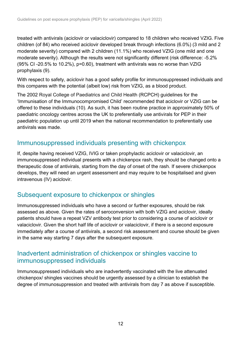treated with antivirals (aciclovir or valaciclovir) compared to 18 children who received VZIG. Five children (of 84) who received aciclovir developed break through infections (6.0%) (3 mild and 2 moderate severity) compared with 2 children (11.1%) who received VZIG (one mild and one moderate severity). Although the results were not significantly different (risk difference: -5.2% (95% CI -20.5% to 10.2%), p=0.60), treatment with antivirals was no worse than VZIG prophylaxis (9).

With respect to safety, aciclovir has a good safety profile for immunosuppressed individuals and this compares with the potential (albeit low) risk from VZIG, as a blood product.

The 2002 Royal College of Paediatrics and Child Health (RCPCH) guidelines for the 'Immunisation of the Immunocompromised Child' recommended that aciclovir or VZIG can be offered to these individuals (10). As such, it has been routine practice in approximately 50% of paediatric oncology centres across the UK to preferentially use antivirals for PEP in their paediatric population up until 2019 when the national recommendation to preferentially use antivirals was made.

#### Immunosuppressed individuals presenting with chickenpox

If, despite having received VZIG, IVIG or taken prophylactic aciclovir or valaciclovir, an immunosuppressed individual presents with a chickenpox rash, they should be changed onto a therapeutic dose of antivirals, starting from the day of onset of the rash. If severe chickenpox develops, they will need an urgent assessment and may require to be hospitalised and given intravenous (IV) aciclovir.

#### Subsequent exposure to chickenpox or shingles

Immunosuppressed individuals who have a second or further exposures, should be risk assessed as above. Given the rates of seroconversion with both VZIG and aciclovir, ideally patients should have a repeat VZV antibody test prior to considering a course of aciclovir or valaciclovir. Given the short half life of aciclovir or valaciclovir, if there is a second exposure immediately after a course of antivirals, a second risk assessment and course should be given in the same way starting 7 days after the subsequent exposure.

#### Inadvertent administration of chickenpox or shingles vaccine to immunosuppressed individuals

Immunosuppressed individuals who are inadvertently vaccinated with the live attenuated chickenpox/ shingles vaccines should be urgently assessed by a clinician to establish the degree of immunosuppression and treated with antivirals from day 7 as above if susceptible.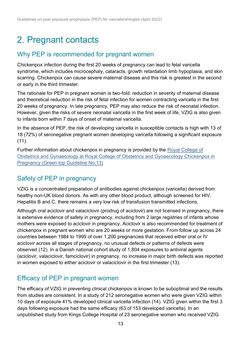## <span id="page-12-0"></span>2. Pregnant contacts

### Why PEP is recommended for pregnant women

Chickenpox infection during the first 20 weeks of pregnancy can lead to fetal varicella syndrome, which includes microcephaly, cataracts, growth retardation limb hypoplasia, and skin scarring. Chickenpox can cause severe maternal disease and this risk is greatest in the second or early in the third trimester.

The rationale for PEP in pregnant women is two-fold: reduction in severity of maternal disease and theoretical reduction in the risk of fetal infection for women contracting varicella in the first 20 weeks of pregnancy. In late pregnancy, PEP may also reduce the risk of neonatal infection. However, given the risks of severe neonatal varicella in the first week of life, VZIG is also given to infants born within 7 days of onset of maternal varicella.

In the absence of PEP, the risk of developing varicella in susceptible contacts is high with 13 of 18 (72%) of seronegative pregnant women developing varicella following a significant exposure (11).

Further information about chickenpox in pregnancy is provided by the [Royal College of](https://www.rcog.org.uk/guidance/browse-all-guidance/green-top-guidelines/chickenpox-in-pregnancy-green-top-guideline-no-13/)  [Obstetrics and Gynaecology at Royal College of Obstetrics and Gynaecology Chickenpox in](https://www.rcog.org.uk/guidance/browse-all-guidance/green-top-guidelines/chickenpox-in-pregnancy-green-top-guideline-no-13/)  [Pregnancy \(Green-top Guideline No.13\)](https://www.rcog.org.uk/guidance/browse-all-guidance/green-top-guidelines/chickenpox-in-pregnancy-green-top-guideline-no-13/)

### Safety of PEP in pregnancy

VZIG is a concentrated preparation of antibodies against chickenpox (varicella) derived from healthy non-UK blood donors. As with any other blood product, although screened for HIV, Hepatitis B and C, there remains a very low risk of transfusion transmitted infections.

Although oral aciclovir and valaciclovir (prodrug of aciclovir) are not licensed in pregnancy, there is extensive evidence of safety in pregnancy, including from 2 large registries of infants whose mothers were exposed to aciclovir in pregnancy. Aciclovir is also recommended for treatment of chickenpox in pregnant women who are 20 weeks or more gestation. From follow up across 24 countries between 1984 to 1999 of over 1,200 pregnancies that received either oral or IV aciclovir across all stages of pregnancy, no unusual defects or patterns of defects were observed (12). In a Danish national cohort study of 1,804 exposures to antiviral agents (aciclovir, valaciclovir, famciclovir) in pregnancy, no increase in major birth defects was reported in women exposed to either aciclovir or valaciclovir in the first trimester (13).

### Efficacy of PEP in pregnant women

The efficacy of VZIG in preventing clinical chickenpox is known to be suboptimal and the results from studies are consistent. In a study of 212 seronegative women who were given VZIG within 10 days of exposure 41% developed clinical varicella infection (14). VZIG given within the first 3 days following exposure had the same efficacy (63 of 153 developed varicella). In an unpublished study from Kings College Hospital of 23 seronegative women who received VZIG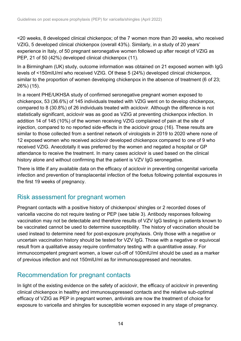<20 weeks, 8 developed clinical chickenpox; of the 7 women more than 20 weeks, who received VZIG, 5 developed clinical chickenpox (overall 43%). Similarly, in a study of 20 years' experience in Italy, of 50 pregnant seronegative women followed up after receipt of VZIG as PEP, 21 of 50 (42%) developed clinical chickenpox (11).

In a Birmingham (UK) study, outcome information was obtained on 21 exposed women with IgG levels of <150mIU/ml who received VZIG. Of these 5 (24%) developed clinical chickenpox, similar to the proportion of women developing chickenpox in the absence of treatment (6 of 23; 26%) (15).

In a recent PHE/UKHSA study of confirmed seronegative pregnant women exposed to chickenpox, 53 (36.6%) of 145 individuals treated with VZIG went on to develop chickenpox, compared to 8 (30.8%) of 26 individuals treated with aciclovir. Although the difference is not statistically significant, aciclovir was as good as VZIG at preventing chickenpox infection. In addition 14 of 145 (10%) of the women receiving VZIG complained of pain at the site of injection, compared to no reported side-effects in the aciclovir group (16). These results are similar to those collected from a sentinel network of virologists in 2019 to 2020 where none of 12 exposed women who received aciclovir developed chickenpox compared to one of 9 who received VZIG. Anecdotally it was preferred by the women and negated a hospital or GP attendance to receive the treatment. In many cases aciclovir is used based on the clinical history alone and without confirming that the patient is VZV IgG seronegative.

There is little if any available data on the efficacy of aciclovir in preventing congenital varicella infection and prevention of transplacental infection of the foetus following potential exposures in the first 19 weeks of pregnancy.

### Risk assessment for pregnant women

Pregnant contacts with a positive history of chickenpox/ shingles or 2 recorded doses of varicella vaccine do not require testing or PEP (see table 3). Antibody responses following vaccination may not be detectable and therefore results of VZV IgG testing in patients known to be vaccinated cannot be used to determine susceptibility. The history of vaccination should be used instead to determine need for post-exposure prophylaxis. Only those with a negative or uncertain vaccination history should be tested for VZV IgG. Those with a negative or equivocal result from a qualitative assay require confirmatory testing with a quantitative assay. For immunocompetent pregnant women, a lower cut-off of 100mIU/ml should be used as a marker of previous infection and not 150mlU/ml as for immunosuppressed and neonates.

### Recommendation for pregnant contacts

In light of the existing evidence on the safety of aciclovir, the efficacy of aciclovir in preventing clinical chickenpox in healthy and immunosuppressed contacts and the relative sub-optimal efficacy of VZIG as PEP in pregnant women, antivirals are now the treatment of choice for exposure to varicella and shingles for susceptible women exposed in any stage of pregnancy.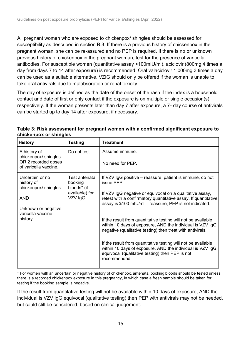All pregnant women who are exposed to chickenpox/ shingles should be assessed for susceptibility as described in section B.3. If there is a previous history of chickenpox in the pregnant woman, she can be re-assured and no PEP is required. If there is no or unknown previous history of chickenpox in the pregnant woman, test for the presence of varicella antibodies. For susceptible women (quantitative assay <100mIU/ml), aciclovir (800mg 4 times a day from days 7 to 14 after exposure) is recommended. Oral valaciclovir 1,000mg 3 times a day can be used as a suitable alternative. VZIG should only be offered if the woman is unable to take oral antivirals due to malabsorption or renal toxicity.

The day of exposure is defined as the date of the onset of the rash if the index is a household contact and date of first or only contact if the exposure is on multiple or single occasion(s) respectively. If the woman presents later than day 7 after exposure, a 7- day course of antivirals can be started up to day 14 after exposure, if necessary.

| Table 3: Risk assessment for pregnant women with a confirmed significant exposure to |  |
|--------------------------------------------------------------------------------------|--|
| chickenpox or shingles                                                               |  |

| <b>History</b>                                                                                                            | <b>Testing</b>                                                         | <b>Treatment</b>                                                                                                                                                                                                                                                                                                                                                                                                                                                                                                                                                                                                                                             |
|---------------------------------------------------------------------------------------------------------------------------|------------------------------------------------------------------------|--------------------------------------------------------------------------------------------------------------------------------------------------------------------------------------------------------------------------------------------------------------------------------------------------------------------------------------------------------------------------------------------------------------------------------------------------------------------------------------------------------------------------------------------------------------------------------------------------------------------------------------------------------------|
| A history of<br>chickenpox/shingles<br>OR 2 recorded doses<br>of varicella vaccine.                                       | Do not test.                                                           | Assume immune.<br>No need for PEP.                                                                                                                                                                                                                                                                                                                                                                                                                                                                                                                                                                                                                           |
| Uncertain or no<br>history of<br>chickenpox/shingles<br><b>AND</b><br>Unknown or negative<br>varicella vaccine<br>history | Test antenatal<br>booking<br>bloods* (if<br>available) for<br>VZV IgG. | If VZV IgG positive – reassure, patient is immune, do not<br>issue PEP.<br>If VZV IgG negative or equivocal on a qualitative assay,<br>retest with a confirmatory quantitative assay. If quantitative<br>assay is ≥100 mIU/ml – reassure, PEP is not indicated.<br>If the result from quantitative testing will not be available<br>within 10 days of exposure, AND the individual is VZV IgG<br>negative (qualitative testing) then treat with antivirals.<br>If the result from quantitative testing will not be available<br>within 10 days of exposure, AND the individual is VZV IgG<br>equivocal (qualitative testing) then PEP is not<br>recommended. |

\* For women with an uncertain or negative history of chickenpox, antenatal booking bloods should be tested unless there is a recorded chickenpox exposure in this pregnancy, in which case a fresh sample should be taken for testing if the booking sample is negative.

If the result from quantitative testing will not be available within 10 days of exposure, AND the individual is VZV IgG equivocal (qualitative testing) then PEP with antivirals may not be needed, but could still be considered, based on clinical judgement.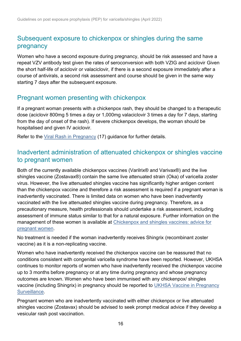### Subsequent exposure to chickenpox or shingles during the same pregnancy

Women who have a second exposure during pregnancy, should be risk assessed and have a repeat VZV antibody test given the rates of seroconversion with both VZIG and aciclovir Given the short half-life of aciclovir or valaciclovir, if there is a second exposure immediately after a course of antivirals, a second risk assessment and course should be given in the same way starting 7 days after the subsequent exposure.

#### Pregnant women presenting with chickenpox

If a pregnant woman presents with a chickenpox rash, they should be changed to a therapeutic dose (aciclovir 800mg 5 times a day or 1,000mg valaciclovir 3 times a day for 7 days, starting from the day of onset of the rash). If severe chickenpox develops, the woman should be hospitalised and given IV aciclovir.

Refer to the [Viral Rash in Pregnancy](https://www.gov.uk/government/publications/viral-rash-in-pregnancy) (17) guidance for further details.

### Inadvertent administration of attenuated chickenpox or shingles vaccine to pregnant women

Both of the currently available chickenpox vaccines (Varilrix® and Varivax®) and the live shingles vaccine (Zostavax®) contain the same live attenuated strain (Oka) of varicella zoster virus. However, the live attenuated shingles vaccine has significantly higher antigen content than the chickenpox vaccine and therefore a risk assessment is required if a pregnant woman is inadvertently vaccinated. There is limited data on women who have been inadvertently vaccinated with the live attenuated shingles vaccine during pregnancy. Therefore, as a precautionary measure, health professionals should undertake a risk assessment, including assessment of immune status similar to that for a natural exposure. Further information on the management of these women is available at [Chickenpox and shingles vaccines: advice for](https://www.gov.uk/government/publications/vaccine-in-pregnancy-advice-for-pregnant-women/chickenpox-and-shingles-vaccines-advice-for-pregnant-women)  [pregnant women.](https://www.gov.uk/government/publications/vaccine-in-pregnancy-advice-for-pregnant-women/chickenpox-and-shingles-vaccines-advice-for-pregnant-women)

No treatment is needed if the woman inadvertently receives Shingrix (recombinant zoster vaccine) as it is a non-replicating vaccine.

Women who have inadvertently received the chickenpox vaccine can be reassured that no conditions consistent with congenital varicella syndrome have been reported. However, UKHSA continues to monitor reports of women who have inadvertently received the chickenpox vaccine up to 3 months before pregnancy or at any time during pregnancy and whose pregnancy outcomes are known. Women who have been immunised with any chickenpox/ shingles vaccine (including Shingrix) in pregnancy should be reported to UKHSA Vaccine in Pregnancy [Surveillance.](https://www.gov.uk/guidance/vaccination-in-pregnancy-vip)

Pregnant women who are inadvertently vaccinated with either chickenpox or live attenuated shingles vaccine (Zostavax) should be advised to seek prompt medical advice if they develop a vesicular rash post vaccination.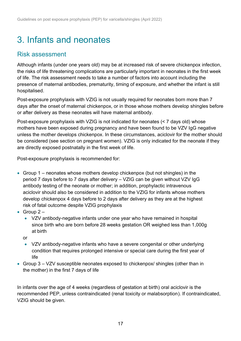## <span id="page-16-0"></span>3. Infants and neonates

### Risk assessment

Although infants (under one years old) may be at increased risk of severe chickenpox infection, the risks of life threatening complications are particularly important in neonates in the first week of life. The risk assessment needs to take a number of factors into account including the presence of maternal antibodies, prematurity, timing of exposure, and whether the infant is still hospitalised.

Post-exposure prophylaxis with VZIG is not usually required for neonates born more than 7 days after the onset of maternal chickenpox, or in those whose mothers develop shingles before or after delivery as these neonates will have maternal antibody.

Post-exposure prophylaxis with VZIG is not indicated for neonates (< 7 days old) whose mothers have been exposed during pregnancy and have been found to be VZV IgG negative unless the mother develops chickenpox. In these circumstances, aciclovir for the mother should be considered (see section on pregnant women). VZIG is only indicated for the neonate if they are directly exposed postnatally in the first week of life.

Post-exposure prophylaxis is recommended for:

- Group 1 neonates whose mothers develop chickenpox (but not shingles) in the period 7 days before to 7 days after delivery – VZIG can be given without VZV IgG antibody testing of the neonate or mother; in addition, prophylactic intravenous aciclovir should also be considered in addition to the VZIG for infants whose mothers develop chickenpox 4 days before to 2 days after delivery as they are at the highest risk of fatal outcome despite VZIG prophylaxis
- Group  $2 -$ 
	- VZV antibody-negative infants under one year who have remained in hospital since birth who are born before 28 weeks gestation OR weighed less than 1,000g at birth
	- or
	- VZV antibody-negative infants who have a severe congenital or other underlying condition that requires prolonged intensive or special care during the first year of life
- Group 3 VZV susceptible neonates exposed to chickenpox/ shingles (other than in the mother) in the first 7 days of life

In infants over the age of 4 weeks (regardless of gestation at birth) oral aciclovir is the recommended PEP, unless contraindicated (renal toxicity or malabsorption). If contraindicated, VZIG should be given.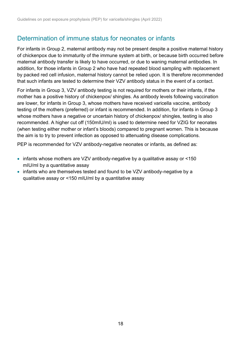### Determination of immune status for neonates or infants

For infants in Group 2, maternal antibody may not be present despite a positive maternal history of chickenpox due to immaturity of the immune system at birth, or because birth occurred before maternal antibody transfer is likely to have occurred, or due to waning maternal antibodies. In addition, for those infants in Group 2 who have had repeated blood sampling with replacement by packed red cell infusion, maternal history cannot be relied upon. It is therefore recommended that such infants are tested to determine their VZV antibody status in the event of a contact.

For infants in Group 3, VZV antibody testing is not required for mothers or their infants, if the mother has a positive history of chickenpox/ shingles. As antibody levels following vaccination are lower, for infants in Group 3, whose mothers have received varicella vaccine, antibody testing of the mothers (preferred) or infant is recommended. In addition, for infants in Group 3 whose mothers have a negative or uncertain history of chickenpox/ shingles, testing is also recommended. A higher cut off (150mIU/ml) is used to determine need for VZIG for neonates (when testing either mother or infant's bloods) compared to pregnant women. This is because the aim is to try to prevent infection as opposed to attenuating disease complications.

PEP is recommended for VZV antibody-negative neonates or infants, as defined as:

- infants whose mothers are VZV antibody-negative by a qualitative assay or <150 mIU/ml by a quantitative assay
- infants who are themselves tested and found to be VZV antibody-negative by a qualitative assay or <150 mIU/ml by a quantitative assay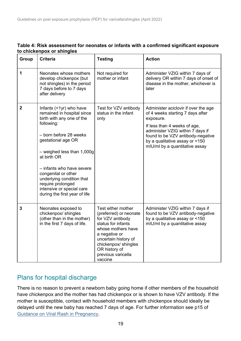| Group        | <b>Criteria</b>                                                                                                                                                                                                                                                                                                                                                     | <b>Testing</b>                                                                                                                                                                                                                  | <b>Action</b>                                                                                                                                                                                                                                                      |
|--------------|---------------------------------------------------------------------------------------------------------------------------------------------------------------------------------------------------------------------------------------------------------------------------------------------------------------------------------------------------------------------|---------------------------------------------------------------------------------------------------------------------------------------------------------------------------------------------------------------------------------|--------------------------------------------------------------------------------------------------------------------------------------------------------------------------------------------------------------------------------------------------------------------|
| 1            | Neonates whose mothers<br>develop chickenpox (but<br>not shingles) in the period<br>7 days before to 7 days<br>after delivery                                                                                                                                                                                                                                       | Not required for<br>mother or infant                                                                                                                                                                                            | Administer VZIG within 7 days of<br>delivery OR within 7 days of onset of<br>disease in the mother, whichever is<br>later                                                                                                                                          |
| $\mathbf{2}$ | Infants (<1yr) who have<br>remained in hospital since<br>birth with any one of the<br>following:<br>- born before 28 weeks<br>gestational age OR<br>$-$ weighed less than 1,000g<br>at birth OR<br>- infants who have severe<br>congenital or other<br>underlying condition that<br>require prolonged<br>intensive or special care<br>during the first year of life | Test for VZV antibody<br>status in the infant<br>only                                                                                                                                                                           | Administer aciclovir if over the age<br>of 4 weeks starting 7 days after<br>exposure.<br>If less than 4 weeks of age,<br>administer VZIG within 7 days if<br>found to be VZV antibody-negative<br>by a qualitative assay or <150<br>mIU/mI by a quantitative assay |
| 3            | Neonates exposed to<br>chickenpox/ shingles<br>(other than in the mother)<br>in the first 7 days of life.                                                                                                                                                                                                                                                           | Test either mother<br>(preferred) or neonate<br>for VZV antibody<br>status for infants<br>whose mothers have<br>a negative or<br>uncertain history of<br>chickenpox/ shingles<br>OR history of<br>previous varicella<br>vaccine | Administer VZIG within 7 days if<br>found to be VZV antibody-negative<br>by a qualitative assay or <150<br>mIU/mI by a quantitative assay                                                                                                                          |

#### **Table 4: Risk assessment for neonates or infants with a confirmed significant exposure to chickenpox or shingles**

### Plans for hospital discharge

There is no reason to prevent a newborn baby going home if other members of the household have chickenpox and the mother has had chickenpox or is shown to have VZV antibody. If the mother is susceptible, contact with household members with chickenpox should ideally be delayed until the new baby has reached 7 days of age. For further information see p15 of [Guidance on Viral Rash in Pregnancy.](https://www.gov.uk/government/publications/viral-rash-in-pregnancy)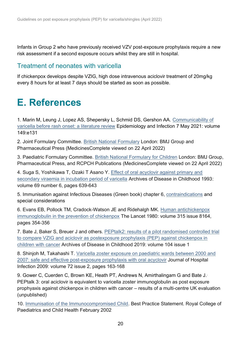Infants in Group 2 who have previously received VZV post-exposure prophylaxis require a new risk assessment if a second exposure occurs whilst they are still in hospital.

### Treatment of neonates with varicella

If chickenpox develops despite VZIG, high dose intravenous aciclovir treatment of 20mg/kg every 8 hours for at least 7 days should be started as soon as possible.

## <span id="page-19-0"></span>**E. References**

1. Marin M, Leung J, Lopez AS, Shepersky L, Schmid DS, Gershon AA. [Communicability of](https://pubmed.ncbi.nlm.nih.gov/33958016/)  [varicella before rash onset: a literature review](https://pubmed.ncbi.nlm.nih.gov/33958016/) Epidemiology and Infection 7 May 2021: volume 149:e131

2. Joint Formulary Committee. [British National Formulary](https://about.medicinescomplete.com/publication/british-national-formulary/) London: BMJ Group and Pharmaceutical Press (MedicinesComplete viewed on 22 April 2022)

3. Paediatric Formulary Committee. [British National Formulary](https://about.medicinescomplete.com/publication/british-national-formulary-for-children/) for Children London: BMJ Group, Pharmaceutical Press, and RCPCH Publications (MedicinesComplete viewed on 22 April 2022)

4. Suga S, Yoshikawa T, Ozaki T Asano Y. [Effect of oral acyclovir against primary and](https://pubmed.ncbi.nlm.nih.gov/8285774/)  [secondary viraemia in incubation period of varicella](https://pubmed.ncbi.nlm.nih.gov/8285774/) Archives of Disease in Childhood 1993: volume 69 number 6, pages 639-643

5. Immunisation against Infectious Diseases (Green book) chapter 6, [contraindications](https://www.gov.uk/government/publications/contraindications-and-special-considerations-the-green-book-chapter-6) and special considerations

6. Evans EB, Pollock TM, Cradock-Watson JE and Ridehalgh MK. [Human antichickenpox](https://pubmed.ncbi.nlm.nih.gov/6101802/)  [immunoglobulin in the prevention of chickenpox](https://pubmed.ncbi.nlm.nih.gov/6101802/) The Lancet 1980: volume 315 issue 8164, pages 354-356

7. Bate J, Baker S, Breuer J and others. [PEPtalk2: results of a pilot randomised controlled trial](https://pubmed.ncbi.nlm.nih.gov/29730641/)  [to compare VZIG and aciclovir as postexposure prophylaxis \(PEP\) against chickenpox in](https://pubmed.ncbi.nlm.nih.gov/29730641/)  [children with cancer](https://pubmed.ncbi.nlm.nih.gov/29730641/) Archives of Disease in Childhood 2019: volume 104 issue 1

8. Shinjoh M, Takahashi T. [Varicella zoster exposure on paediatric wards between 2000 and](https://pubmed.ncbi.nlm.nih.gov/19282055/)  [2007: safe and effective post-exposure prophylaxis with oral acyclovir](https://pubmed.ncbi.nlm.nih.gov/19282055/) Journal of Hospital Infection 2009: volume 72 issue 2, pages 163-168

9. Gower C, Cuerden C, Brown KE, Heath PT, Andrews N, Amirthalingam G and Bate J. PEPtalk 3: oral aciclovir is equivalent to varicella zoster immunoglobulin as post exposure prophyaxis against chickenpox in children with cancer – results of a multi-centre UK evaluation (unpublished)

10. [Immunisation of the Immunocompromised Child.](http://rcpch.adlibhosting.com/files/Immunisation%20of%20the%20Immunocompromised%20Child%C2%A02002-02.pdf) Best Practice Statement. Royal College of Paediatrics and Child Health February 2002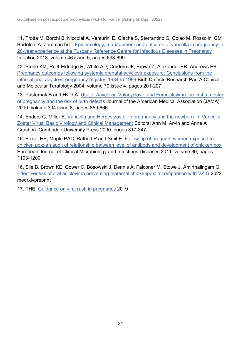11. Trotta M, Borchi B, Niccolai A, Venturini E, Giaché S, Sterrantino G, Colao M, Rossolini GM Bartoloni A, Zammarchi L. Epidemiology, management and outcome of varicella in pregnancy: a [20-year experience at the Tuscany Reference Centre for Infectious Diseases in Pregnancy](https://pubmed.ncbi.nlm.nih.gov/29766472/)  Infection 2018: volume 46 issue 5, pages 693-699

12. Stone KM, Reiff-Eldridge R, White AD, Cordero JF, Brown Z, Alexander ER, Andrews EB. [Pregnancy outcomes following systemic prenatal acyclovir exposure: Conclusions from the](https://pubmed.ncbi.nlm.nih.gov/15108247/)  [international acyclovir pregnancy registry, 1984](https://pubmed.ncbi.nlm.nih.gov/15108247/) to 1999 Birth Defects Research Part A Clinical and Molecular Teratology 2004: volume 70 issue 4, pages 201-207

13. Pasternak B and Hviid A. [Use of Acyclovir, Valacyclovir, and Famciclovir in the first trimester](https://pubmed.ncbi.nlm.nih.gov/20736469/)  [of pregnancy and the risk of birth defects](https://pubmed.ncbi.nlm.nih.gov/20736469/) Journal of the American Medical Association (JAMA) 2010: volume 304 issue 8, pages 859-866

14. Enders G, Miller E. Varicella and Herpes zoster in pregnancy and the newborn. In Varicella [Zoster Virus: Basic Virology and Clinical Management](https://www.cambridge.org/core/books/abs/varicellazoster-virus/varicella-and-herpes-zoster-in-pregnancy-and-the-newborn/CF205A0A5C016F05ABFA49AD09DE9989) Editors: Ann M, Arvin and Anne A Gershon. Cambridge University Press 2000: pages 317-347

15. Boxall EH, Maple PAC, Rathod P and Smit E. [Follow-up of pregnant women exposed to](https://pubmed.ncbi.nlm.nih.gov/21455665/)  [chicken pox: an audit of relationship between level of antibody and development of chicken pox](https://pubmed.ncbi.nlm.nih.gov/21455665/) European Journal of Clinical Microbiology and Infectious Diseases 2011: volume 30, pages 1193-1200

16. Sile B, Brown KE, Gower C, Bosowski J, Dennis A, Falconer M, Stowe J, Amirthalingam G. [Effectiveness of oral aciclovir in preventing maternal chickenpox: a comparison with VZIG](https://www.medrxiv.org/content/10.1101/2022.04.26.22274015v1) 2022 medrxivpreprint

17. PHE. [Guidance on viral rash in pregnancy](https://www.gov.uk/government/publications/viral-rash-in-pregnancy) 2019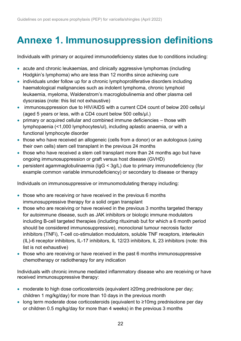## <span id="page-21-0"></span>**Annexe 1. Immunosuppression definitions**

Individuals with primary or acquired immunodeficiency states due to conditions including:

- acute and chronic leukaemias, and clinically aggressive lymphomas (including Hodgkin's lymphoma) who are less than 12 months since achieving cure
- individuals under follow up for a chronic lymphoproliferative disorders including haematological malignancies such as indolent lymphoma, chronic lymphoid leukaemia, myeloma, Waldenstrom's macroglobulinemia and other plasma cell dyscrasias (note: this list not exhaustive)
- immunosuppression due to HIV/AIDS with a current CD4 count of below 200 cells/µI (aged 5 years or less, with a CD4 count below 500 cells/μl.)
- primary or acquired cellular and combined immune deficiencies those with lymphopaenia (<1,000 lymphocytes/ul), including aplastic anaemia, or with a functional lymphocyte disorder
- those who have received an allogeneic (cells from a donor) or an autologous (using their own cells) stem cell transplant in the previous 24 months
- those who have received a stem cell transplant more than 24 months ago but have ongoing immunosuppression or graft versus host disease (GVHD)
- persistent agammaglobulinaemia (IgG < 3g/L) due to primary immunodeficiency (for example common variable immunodeficiency) or secondary to disease or therapy

Individuals on immunosuppressive or immunomodulating therapy including:

- those who are receiving or have received in the previous 6 months immunosuppressive therapy for a solid organ transplant
- those who are receiving or have received in the previous 3 months targeted therapy for autoimmune disease, such as JAK inhibitors or biologic immune modulators including B-cell targeted therapies (including rituximab but for which a 6 month period should be considered immunosuppressive), monoclonal tumour necrosis factor inhibitors (TNFi), T-cell co-stimulation modulators, soluble TNF receptors, interleukin (IL)-6 receptor inhibitors, IL-17 inhibitors, IL 12/23 inhibitors, IL 23 inhibitors (note: this list is not exhaustive)
- those who are receiving or have received in the past 6 months immunosuppressive chemotherapy or radiotherapy for any indication

Individuals with chronic immune mediated inflammatory disease who are receiving or have received immunosuppressive therapy:

- moderate to high dose corticosteroids (equivalent ≥20mg prednisolone per day; children 1 mg/kg/day) for more than 10 days in the previous month
- long term moderate dose corticosteroids (equivalent to ≥10mg prednisolone per day or children 0.5 mg/kg/day for more than 4 weeks) in the previous 3 months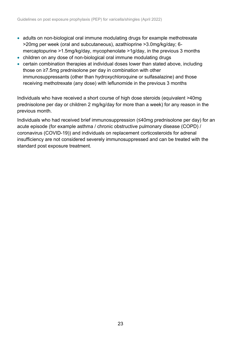- adults on non-biological oral immune modulating drugs for example methotrexate >20mg per week (oral and subcutaneous), azathioprine >3.0mg/kg/day; 6 mercaptopurine >1.5mg/kg/day, mycophenolate >1g/day, in the previous 3 months
- children on any dose of non-biological oral immune modulating drugs
- certain combination therapies at individual doses lower than stated above, including those on ≥7.5mg prednisolone per day in combination with other immunosuppressants (other than hydroxychloroquine or sulfasalazine) and those receiving methotrexate (any dose) with leflunomide in the previous 3 months

Individuals who have received a short course of high dose steroids (equivalent >40mg prednisolone per day or children 2 mg/kg/day for more than a week) for any reason in the previous month.

Individuals who had received brief immunosuppression (≤40mg prednisolone per day) for an acute episode (for example asthma / chronic obstructive pulmonary disease (COPD) / coronavirus (COVID-19)) and individuals on replacement corticosteroids for adrenal insufficiency are not considered severely immunosuppressed and can be treated with the standard post exposure treatment.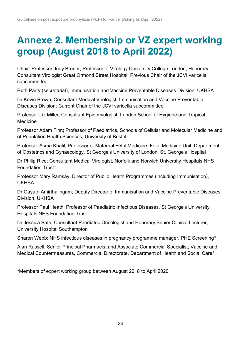## <span id="page-23-0"></span>**Annexe 2. Membership or VZ expert working group (August 2018 to April 2022)**

Chair: Professor Judy Breuer; Professor of Virology University College London, Honorary Consultant Virologist Great Ormond Street Hospital, Previous Chair of the JCVI varicella subcommittee

Ruth Parry (secretariat); Immunisation and Vaccine Preventable Diseases Division, UKHSA

Dr Kevin Brown; Consultant Medical Virologist, Immunisation and Vaccine Preventable Diseases Division; Current Chair of the JCVI varicella subcommittee

Professor Liz Miller; Consultant Epidemiologist, London School of Hygiene and Tropical Medicine

Professor Adam Finn; Professor of Paediatrics, Schools of Cellular and Molecular Medicine and of Population Health Sciences, University of Bristol

Professor Asma Khalil; Professor of Maternal Fetal Medicine, Fetal Medicine Unit, Department of Obstetrics and Gynaecology, St George's University of London, St. George's Hospital

Dr Philip Rice; Consultant Medical Virologist, Norfolk and Norwich University Hospitals NHS Foundation Trust\*

Professor Mary Ramsay, Director of Public Health Programmes (including Immunisation), UKHSA

Dr Gayatri Amirthalingam; Deputy Director of Immunisation and Vaccine Preventable Diseases Division, UKHSA

Professor Paul Heath; Professor of Paediatric Infectious Diseases, St George's University Hospitals NHS Foundation Trust

Dr Jessica Bate, Consultant Paediatric Oncologist and Honorary Senior Clinical Lecturer, University Hospital Southampton

Sharon Webb: NHS infectious diseases in pregnancy programme manager, PHE Screening\*

Alan Russell; Senior Principal Pharmacist and Associate Commercial Specialist, Vaccine and Medical Countermeasures, Commercial Directorate, Department of Health and Social Care\*

\*Members of expert working group between August 2018 to April 2020